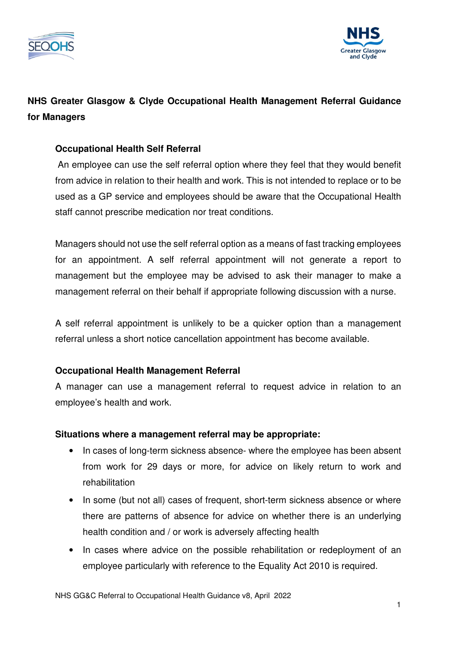



# **NHS Greater Glasgow & Clyde Occupational Health Management Referral Guidance for Managers**

### **Occupational Health Self Referral**

An employee can use the self referral option where they feel that they would benefit from advice in relation to their health and work. This is not intended to replace or to be used as a GP service and employees should be aware that the Occupational Health staff cannot prescribe medication nor treat conditions.

Managers should not use the self referral option as a means of fast tracking employees for an appointment. A self referral appointment will not generate a report to management but the employee may be advised to ask their manager to make a management referral on their behalf if appropriate following discussion with a nurse.

A self referral appointment is unlikely to be a quicker option than a management referral unless a short notice cancellation appointment has become available.

### **Occupational Health Management Referral**

A manager can use a management referral to request advice in relation to an employee's health and work.

#### **Situations where a management referral may be appropriate:**

- In cases of long-term sickness absence- where the employee has been absent from work for 29 days or more, for advice on likely return to work and rehabilitation
- In some (but not all) cases of frequent, short-term sickness absence or where there are patterns of absence for advice on whether there is an underlying health condition and / or work is adversely affecting health
- In cases where advice on the possible rehabilitation or redeployment of an employee particularly with reference to the Equality Act 2010 is required.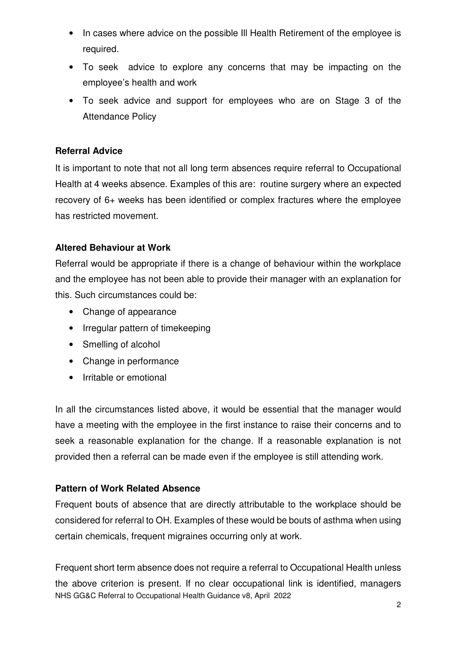- In cases where advice on the possible Ill Health Retirement of the employee is required.
- To seek advice to explore any concerns that may be impacting on the employee's health and work
- To seek advice and support for employees who are on Stage 3 of the Attendance Policy

### **Referral Advice**

It is important to note that not all long term absences require referral to Occupational Health at 4 weeks absence. Examples of this are: routine surgery where an expected recovery of 6+ weeks has been identified or complex fractures where the employee has restricted movement.

#### **Altered Behaviour at Work**

Referral would be appropriate if there is a change of behaviour within the workplace and the employee has not been able to provide their manager with an explanation for this. Such circumstances could be:

- Change of appearance
- Irregular pattern of timekeeping
- Smelling of alcohol
- Change in performance
- Irritable or emotional

In all the circumstances listed above, it would be essential that the manager would have a meeting with the employee in the first instance to raise their concerns and to seek a reasonable explanation for the change. If a reasonable explanation is not provided then a referral can be made even if the employee is still attending work.

#### **Pattern of Work Related Absence**

Frequent bouts of absence that are directly attributable to the workplace should be considered for referral to OH. Examples of these would be bouts of asthma when using certain chemicals, frequent migraines occurring only at work.

NHS GG&C Referral to Occupational Health Guidance v8, April 2022 Frequent short term absence does not require a referral to Occupational Health unless the above criterion is present. If no clear occupational link is identified, managers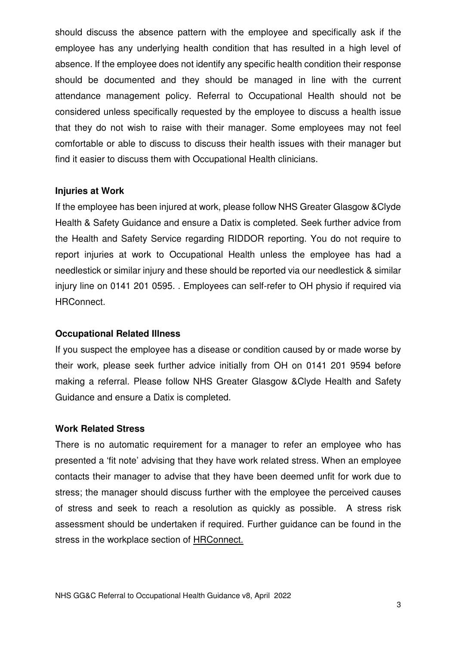should discuss the absence pattern with the employee and specifically ask if the employee has any underlying health condition that has resulted in a high level of absence. If the employee does not identify any specific health condition their response should be documented and they should be managed in line with the current attendance management policy. Referral to Occupational Health should not be considered unless specifically requested by the employee to discuss a health issue that they do not wish to raise with their manager. Some employees may not feel comfortable or able to discuss to discuss their health issues with their manager but find it easier to discuss them with Occupational Health clinicians.

#### **Injuries at Work**

If the employee has been injured at work, please follow NHS Greater Glasgow &Clyde Health & Safety Guidance and ensure a Datix is completed. Seek further advice from the Health and Safety Service regarding RIDDOR reporting. You do not require to report injuries at work to Occupational Health unless the employee has had a needlestick or similar injury and these should be reported via our needlestick & similar injury line on 0141 201 0595. . Employees can self-refer to OH physio if required via HRConnect.

#### **Occupational Related Illness**

If you suspect the employee has a disease or condition caused by or made worse by their work, please seek further advice initially from OH on 0141 201 9594 before making a referral. Please follow NHS Greater Glasgow &Clyde Health and Safety Guidance and ensure a Datix is completed.

#### **Work Related Stress**

There is no automatic requirement for a manager to refer an employee who has presented a 'fit note' advising that they have work related stress. When an employee contacts their manager to advise that they have been deemed unfit for work due to stress; the manager should discuss further with the employee the perceived causes of stress and seek to reach a resolution as quickly as possible. A stress risk assessment should be undertaken if required. Further guidance can be found in the stress in the workplace section of HRConnect.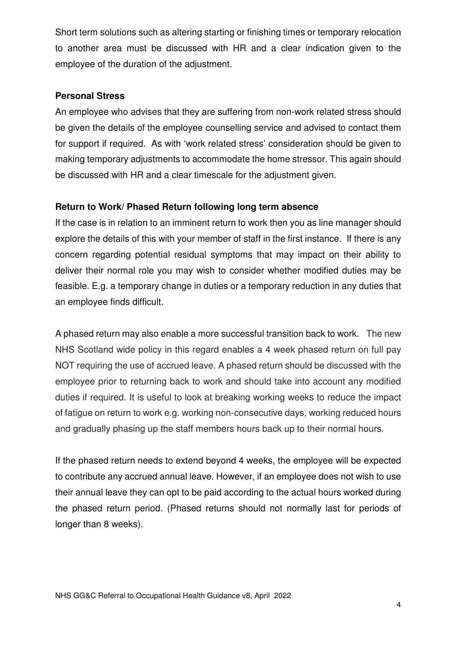Short term solutions such as altering starting or finishing times or temporary relocation to another area must be discussed with HR and a clear indication given to the employee of the duration of the adjustment.

#### **Personal Stress**

An employee who advises that they are suffering from non-work related stress should be given the details of the employee counselling service and advised to contact them for support if required. As with 'work related stress' consideration should be given to making temporary adjustments to accommodate the home stressor. This again should be discussed with HR and a clear timescale for the adjustment given.

### **Return to Work/ Phased Return following long term absence**

If the case is in relation to an imminent return to work then you as line manager should explore the details of this with your member of staff in the first instance. If there is any concern regarding potential residual symptoms that may impact on their ability to deliver their normal role you may wish to consider whether modified duties may be feasible. E.g. a temporary change in duties or a temporary reduction in any duties that an employee finds difficult.

A phased return may also enable a more successful transition back to work. The new NHS Scotland wide policy in this regard enables a 4 week phased return on full pay NOT requiring the use of accrued leave. A phased return should be discussed with the employee prior to returning back to work and should take into account any modified duties if required. It is useful to look at breaking working weeks to reduce the impact of fatigue on return to work e.g. working non-consecutive days, working reduced hours and gradually phasing up the staff members hours back up to their normal hours.

If the phased return needs to extend beyond 4 weeks, the employee will be expected to contribute any accrued annual leave. However, if an employee does not wish to use their annual leave they can opt to be paid according to the actual hours worked during the phased return period. (Phased returns should not normally last for periods of longer than 8 weeks).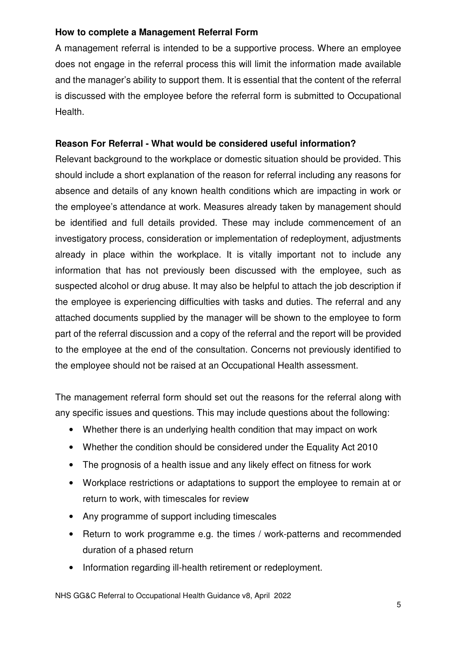### **How to complete a Management Referral Form**

A management referral is intended to be a supportive process. Where an employee does not engage in the referral process this will limit the information made available and the manager's ability to support them. It is essential that the content of the referral is discussed with the employee before the referral form is submitted to Occupational Health.

## **Reason For Referral - What would be considered useful information?**

Relevant background to the workplace or domestic situation should be provided. This should include a short explanation of the reason for referral including any reasons for absence and details of any known health conditions which are impacting in work or the employee's attendance at work. Measures already taken by management should be identified and full details provided. These may include commencement of an investigatory process, consideration or implementation of redeployment, adjustments already in place within the workplace. It is vitally important not to include any information that has not previously been discussed with the employee, such as suspected alcohol or drug abuse. It may also be helpful to attach the job description if the employee is experiencing difficulties with tasks and duties. The referral and any attached documents supplied by the manager will be shown to the employee to form part of the referral discussion and a copy of the referral and the report will be provided to the employee at the end of the consultation. Concerns not previously identified to the employee should not be raised at an Occupational Health assessment.

The management referral form should set out the reasons for the referral along with any specific issues and questions. This may include questions about the following:

- Whether there is an underlying health condition that may impact on work
- Whether the condition should be considered under the Equality Act 2010
- The prognosis of a health issue and any likely effect on fitness for work
- Workplace restrictions or adaptations to support the employee to remain at or return to work, with timescales for review
- Any programme of support including timescales
- Return to work programme e.g. the times / work-patterns and recommended duration of a phased return
- Information regarding ill-health retirement or redeployment.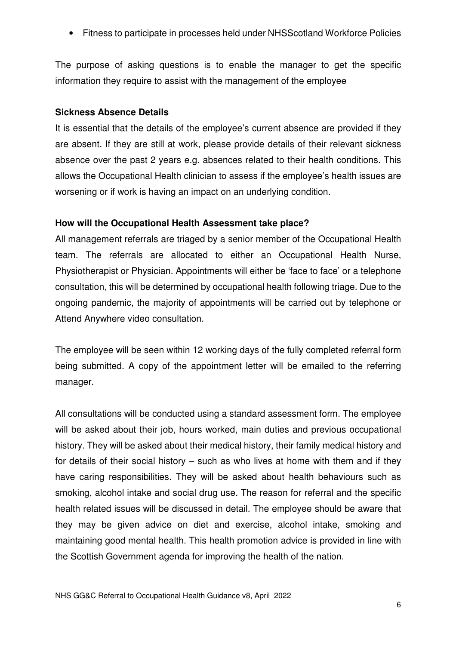• Fitness to participate in processes held under NHSScotland Workforce Policies

The purpose of asking questions is to enable the manager to get the specific information they require to assist with the management of the employee

#### **Sickness Absence Details**

It is essential that the details of the employee's current absence are provided if they are absent. If they are still at work, please provide details of their relevant sickness absence over the past 2 years e.g. absences related to their health conditions. This allows the Occupational Health clinician to assess if the employee's health issues are worsening or if work is having an impact on an underlying condition.

#### **How will the Occupational Health Assessment take place?**

All management referrals are triaged by a senior member of the Occupational Health team. The referrals are allocated to either an Occupational Health Nurse, Physiotherapist or Physician. Appointments will either be 'face to face' or a telephone consultation, this will be determined by occupational health following triage. Due to the ongoing pandemic, the majority of appointments will be carried out by telephone or Attend Anywhere video consultation.

The employee will be seen within 12 working days of the fully completed referral form being submitted. A copy of the appointment letter will be emailed to the referring manager.

All consultations will be conducted using a standard assessment form. The employee will be asked about their job, hours worked, main duties and previous occupational history. They will be asked about their medical history, their family medical history and for details of their social history – such as who lives at home with them and if they have caring responsibilities. They will be asked about health behaviours such as smoking, alcohol intake and social drug use. The reason for referral and the specific health related issues will be discussed in detail. The employee should be aware that they may be given advice on diet and exercise, alcohol intake, smoking and maintaining good mental health. This health promotion advice is provided in line with the Scottish Government agenda for improving the health of the nation.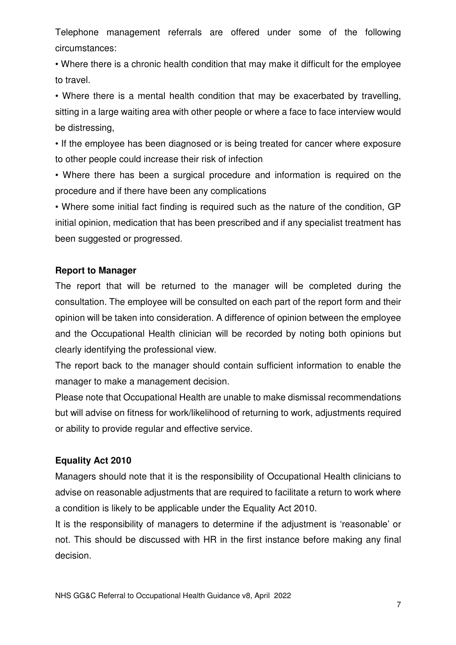Telephone management referrals are offered under some of the following circumstances:

• Where there is a chronic health condition that may make it difficult for the employee to travel.

• Where there is a mental health condition that may be exacerbated by travelling, sitting in a large waiting area with other people or where a face to face interview would be distressing,

• If the employee has been diagnosed or is being treated for cancer where exposure to other people could increase their risk of infection

• Where there has been a surgical procedure and information is required on the procedure and if there have been any complications

• Where some initial fact finding is required such as the nature of the condition, GP initial opinion, medication that has been prescribed and if any specialist treatment has been suggested or progressed.

#### **Report to Manager**

The report that will be returned to the manager will be completed during the consultation. The employee will be consulted on each part of the report form and their opinion will be taken into consideration. A difference of opinion between the employee and the Occupational Health clinician will be recorded by noting both opinions but clearly identifying the professional view.

The report back to the manager should contain sufficient information to enable the manager to make a management decision.

Please note that Occupational Health are unable to make dismissal recommendations but will advise on fitness for work/likelihood of returning to work, adjustments required or ability to provide regular and effective service.

#### **Equality Act 2010**

Managers should note that it is the responsibility of Occupational Health clinicians to advise on reasonable adjustments that are required to facilitate a return to work where a condition is likely to be applicable under the Equality Act 2010.

It is the responsibility of managers to determine if the adjustment is 'reasonable' or not. This should be discussed with HR in the first instance before making any final decision.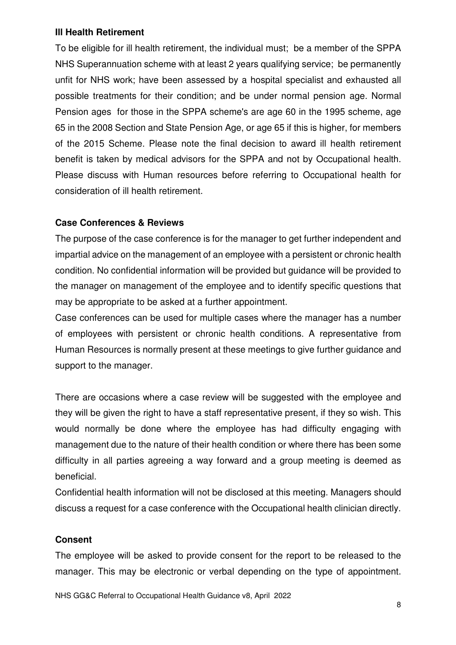#### **Ill Health Retirement**

To be eligible for ill health retirement, the individual must; be a member of the SPPA NHS Superannuation scheme with at least 2 years qualifying service; be permanently unfit for NHS work; have been assessed by a hospital specialist and exhausted all possible treatments for their condition; and be under normal pension age. Normal Pension ages for those in the SPPA scheme's are age 60 in the 1995 scheme, age 65 in the 2008 Section and State Pension Age, or age 65 if this is higher, for members of the 2015 Scheme. Please note the final decision to award ill health retirement benefit is taken by medical advisors for the SPPA and not by Occupational health. Please discuss with Human resources before referring to Occupational health for consideration of ill health retirement.

### **Case Conferences & Reviews**

The purpose of the case conference is for the manager to get further independent and impartial advice on the management of an employee with a persistent or chronic health condition. No confidential information will be provided but guidance will be provided to the manager on management of the employee and to identify specific questions that may be appropriate to be asked at a further appointment.

Case conferences can be used for multiple cases where the manager has a number of employees with persistent or chronic health conditions. A representative from Human Resources is normally present at these meetings to give further guidance and support to the manager.

There are occasions where a case review will be suggested with the employee and they will be given the right to have a staff representative present, if they so wish. This would normally be done where the employee has had difficulty engaging with management due to the nature of their health condition or where there has been some difficulty in all parties agreeing a way forward and a group meeting is deemed as beneficial.

Confidential health information will not be disclosed at this meeting. Managers should discuss a request for a case conference with the Occupational health clinician directly.

### **Consent**

The employee will be asked to provide consent for the report to be released to the manager. This may be electronic or verbal depending on the type of appointment.

NHS GG&C Referral to Occupational Health Guidance v8, April 2022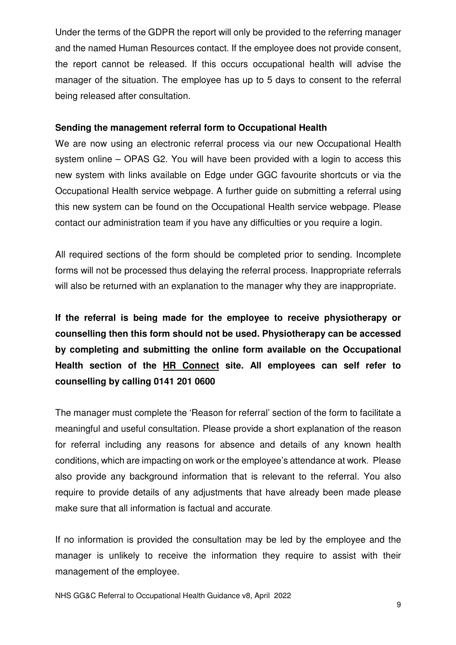Under the terms of the GDPR the report will only be provided to the referring manager and the named Human Resources contact. If the employee does not provide consent, the report cannot be released. If this occurs occupational health will advise the manager of the situation. The employee has up to 5 days to consent to the referral being released after consultation.

#### **Sending the management referral form to Occupational Health**

We are now using an electronic referral process via our new Occupational Health system online – OPAS G2. You will have been provided with a login to access this new system with links available on Edge under GGC favourite shortcuts or via the Occupational Health service webpage. A further guide on submitting a referral using this new system can be found on the Occupational Health service webpage. Please contact our administration team if you have any difficulties or you require a login.

All required sections of the form should be completed prior to sending. Incomplete forms will not be processed thus delaying the referral process. Inappropriate referrals will also be returned with an explanation to the manager why they are inappropriate.

**If the referral is being made for the employee to receive physiotherapy or counselling then this form should not be used. Physiotherapy can be accessed by completing and submitting the online form available on the Occupational Health section of the HR Connect site. All employees can self refer to counselling by calling 0141 201 0600**

The manager must complete the 'Reason for referral' section of the form to facilitate a meaningful and useful consultation. Please provide a short explanation of the reason for referral including any reasons for absence and details of any known health conditions, which are impacting on work or the employee's attendance at work. Please also provide any background information that is relevant to the referral. You also require to provide details of any adjustments that have already been made please make sure that all information is factual and accurate.

If no information is provided the consultation may be led by the employee and the manager is unlikely to receive the information they require to assist with their management of the employee.